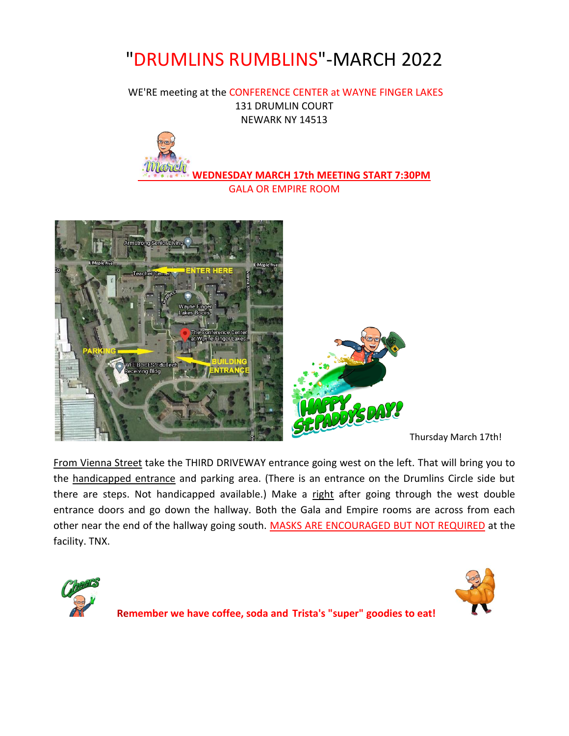# "DRUMLINS RUMBLINS"-MARCH 2022

WE'RE meeting at the CONFERENCE CENTER at WAYNE FINGER LAKES 131 DRUMLIN COURT NEWARK NY 14513



**WEDNESDAY MARCH 17th MEETING START 7:30PM** GALA OR EMPIRE ROOM





Thursday March 17th!

From Vienna Street take the THIRD DRIVEWAY entrance going west on the left. That will bring you to the handicapped entrance and parking area. (There is an entrance on the Drumlins Circle side but there are steps. Not handicapped available.) Make a right after going through the west double entrance doors and go down the hallway. Both the Gala and Empire rooms are across from each other near the end of the hallway going south. MASKS ARE ENCOURAGED BUT NOT REQUIRED at the facility. TNX.





**Remember we have coffee, soda and Trista's "super" goodies to eat!**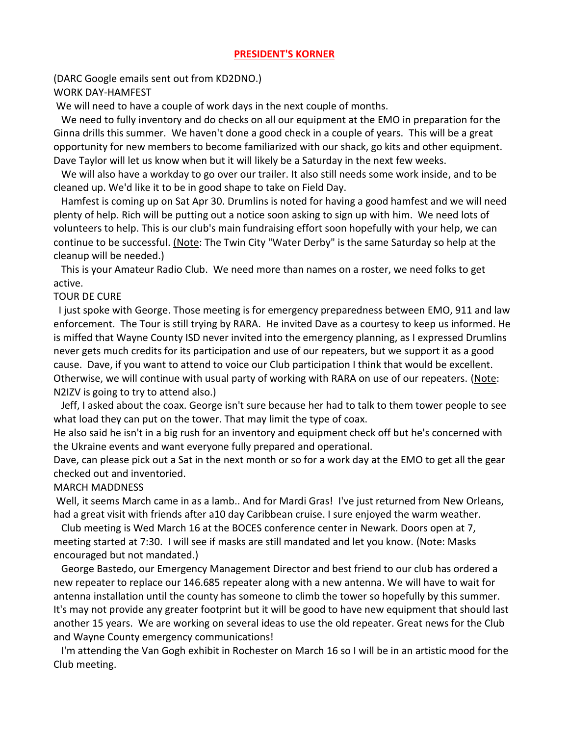#### **PRESIDENT'S KORNER**

(DARC Google emails sent out from KD2DNO.) WORK DAY-HAMFEST

We will need to have a couple of work days in the next couple of months.

We need to fully inventory and do checks on all our equipment at the EMO in preparation for the Ginna drills this summer. We haven't done a good check in a couple of years. This will be a great opportunity for new members to become familiarized with our shack, go kits and other equipment. Dave Taylor will let us know when but it will likely be a Saturday in the next few weeks.

We will also have a workday to go over our trailer. It also still needs some work inside, and to be cleaned up. We'd like it to be in good shape to take on Field Day.

Hamfest is coming up on Sat Apr 30. Drumlins is noted for having a good hamfest and we will need plenty of help. Rich will be putting out a notice soon asking to sign up with him. We need lots of volunteers to help. This is our club's main fundraising effort soon hopefully with your help, we can continue to be successful. (Note: The Twin City "Water Derby" is the same Saturday so help at the cleanup will be needed.)

This is your Amateur Radio Club. We need more than names on a roster, we need folks to get active.

#### TOUR DE CURE

 I just spoke with George. Those meeting is for emergency preparedness between EMO, 911 and law enforcement. The Tour is still trying by RARA. He invited Dave as a courtesy to keep us informed. He is miffed that Wayne County ISD never invited into the emergency planning, as I expressed Drumlins never gets much credits for its participation and use of our repeaters, but we support it as a good cause. Dave, if you want to attend to voice our Club participation I think that would be excellent. Otherwise, we will continue with usual party of working with RARA on use of our repeaters. (Note: N2IZV is going to try to attend also.)

 Jeff, I asked about the coax. George isn't sure because her had to talk to them tower people to see what load they can put on the tower. That may limit the type of coax.

He also said he isn't in a big rush for an inventory and equipment check off but he's concerned with the Ukraine events and want everyone fully prepared and operational.

Dave, can please pick out a Sat in the next month or so for a work day at the EMO to get all the gear checked out and inventoried.

#### MARCH MADDNESS

Well, it seems March came in as a lamb.. And for Mardi Gras! I've just returned from New Orleans, had a great visit with friends after a10 day Caribbean cruise. I sure enjoyed the warm weather.

Club meeting is Wed March 16 at the BOCES conference center in Newark. Doors open at 7, meeting started at 7:30. I will see if masks are still mandated and let you know. (Note: Masks encouraged but not mandated.)

George Bastedo, our Emergency Management Director and best friend to our club has ordered a new repeater to replace our 146.685 repeater along with a new antenna. We will have to wait for antenna installation until the county has someone to climb the tower so hopefully by this summer. It's may not provide any greater footprint but it will be good to have new equipment that should last another 15 years. We are working on several ideas to use the old repeater. Great news for the Club and Wayne County emergency communications!

I'm attending the Van Gogh exhibit in Rochester on March 16 so I will be in an artistic mood for the Club meeting.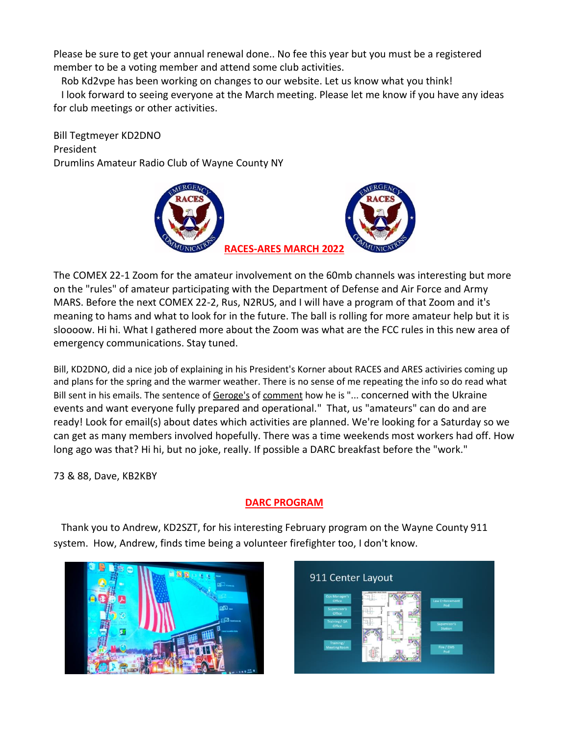Please be sure to get your annual renewal done.. No fee this year but you must be a registered member to be a voting member and attend some club activities.

Rob Kd2vpe has been working on changes to our website. Let us know what you think!

I look forward to seeing everyone at the March meeting. Please let me know if you have any ideas for club meetings or other activities.

Bill Tegtmeyer KD2DNO President Drumlins Amateur Radio Club of Wayne County NY



The COMEX 22-1 Zoom for the amateur involvement on the 60mb channels was interesting but more on the "rules" of amateur participating with the Department of Defense and Air Force and Army MARS. Before the next COMEX 22-2, Rus, N2RUS, and I will have a program of that Zoom and it's meaning to hams and what to look for in the future. The ball is rolling for more amateur help but it is sloooow. Hi hi. What I gathered more about the Zoom was what are the FCC rules in this new area of emergency communications. Stay tuned.

Bill, KD2DNO, did a nice job of explaining in his President's Korner about RACES and ARES activiries coming up and plans for the spring and the warmer weather. There is no sense of me repeating the info so do read what Bill sent in his emails. The sentence of Geroge's of comment how he is "... concerned with the Ukraine events and want everyone fully prepared and operational." That, us "amateurs" can do and are ready! Look for email(s) about dates which activities are planned. We're looking for a Saturday so we can get as many members involved hopefully. There was a time weekends most workers had off. How long ago was that? Hi hi, but no joke, really. If possible a DARC breakfast before the "work."

73 & 88, Dave, KB2KBY

# **DARC PROGRAM**

 Thank you to Andrew, KD2SZT, for his interesting February program on the Wayne County 911 system. How, Andrew, finds time being a volunteer firefighter too, I don't know.



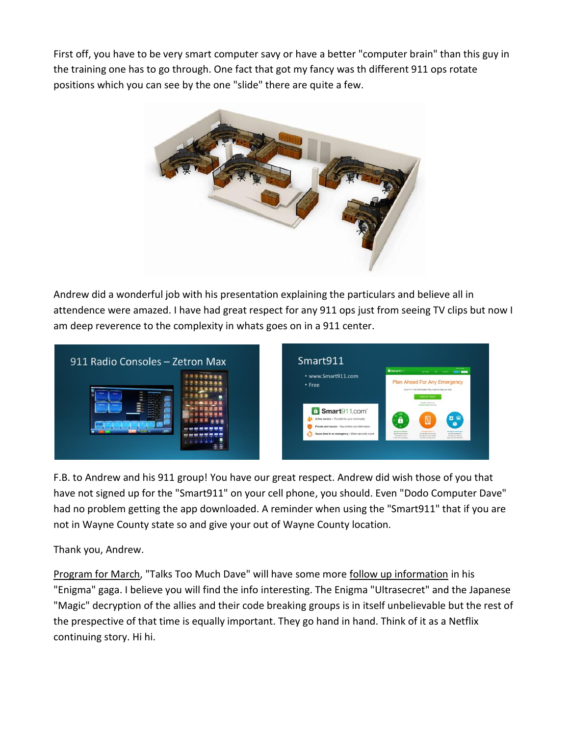First off, you have to be very smart computer savy or have a better "computer brain" than this guy in the training one has to go through. One fact that got my fancy was th different 911 ops rotate positions which you can see by the one "slide" there are quite a few.



Andrew did a wonderful job with his presentation explaining the particulars and believe all in attendence were amazed. I have had great respect for any 911 ops just from seeing TV clips but now I am deep reverence to the complexity in whats goes on in a 911 center.



F.B. to Andrew and his 911 group! You have our great respect. Andrew did wish those of you that have not signed up for the "Smart911" on your cell phone, you should. Even "Dodo Computer Dave" had no problem getting the app downloaded. A reminder when using the "Smart911" that if you are not in Wayne County state so and give your out of Wayne County location.

Thank you, Andrew.

Program for March, "Talks Too Much Dave" will have some more follow up information in his "Enigma" gaga. I believe you will find the info interesting. The Enigma "Ultrasecret" and the Japanese "Magic" decryption of the allies and their code breaking groups is in itself unbelievable but the rest of the prespective of that time is equally important. They go hand in hand. Think of it as a Netflix continuing story. Hi hi.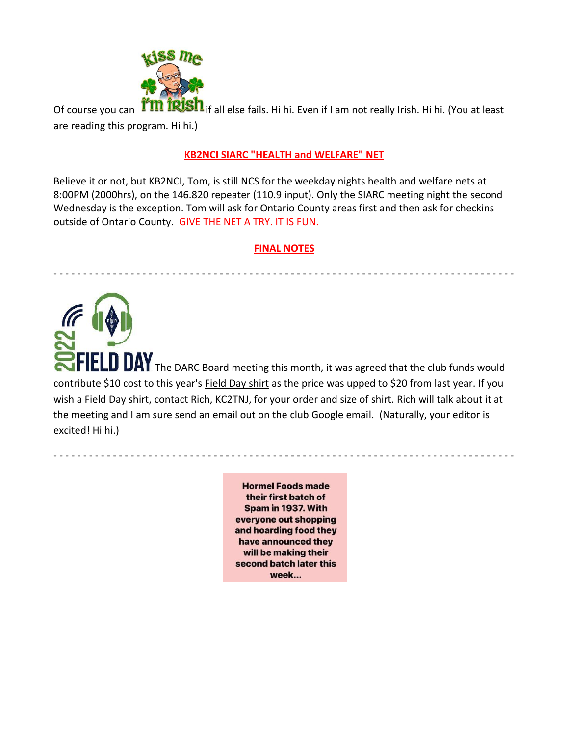

Of course you can **ITM IRISH** if all else fails. Hi hi. Even if I am not really Irish. Hi hi. (You at least are reading this program. Hi hi.)

### **KB2NCI SIARC "HEALTH and WELFARE" NET**

Believe it or not, but KB2NCI, Tom, is still NCS for the weekday nights health and welfare nets at 8:00PM (2000hrs), on the 146.820 repeater (110.9 input). Only the SIARC meeting night the second Wednesday is the exception. Tom will ask for Ontario County areas first and then ask for checkins outside of Ontario County. GIVE THE NET A TRY. IT IS FUN.

#### **FINAL NOTES**

- - - - - - - - - - - - - - - - - - - - - - - - - - - - - - - - - - - - - - - - - - - - - - - - - - - - - - - - - - - - - - - - - - - - - - - - - - - - - -

**DAY** The DARC Board meeting this month, it was agreed that the club funds would contribute \$10 cost to this year's Field Day shirt as the price was upped to \$20 from last year. If you wish a Field Day shirt, contact Rich, KC2TNJ, for your order and size of shirt. Rich will talk about it at the meeting and I am sure send an email out on the club Google email. (Naturally, your editor is excited! Hi hi.)

> **Hormel Foods made** their first batch of Spam in 1937. With everyone out shopping and hoarding food they have announced they will be making their second batch later this week...

- - - - - - - - - - - - - - - - - - - - - - - - - - - - - - - - - - - - - - - - - - - - - - - - - - - - - - - - - - - - - - - - - - - - - - - - - - - - - -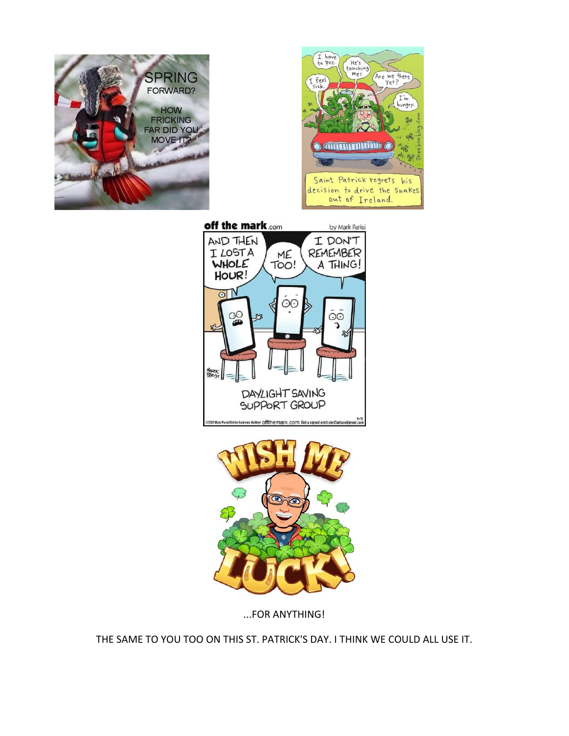



off the mark.com by Mark Parisi AND THEN I DON'T I LOSTA REMEMBER ME WHOLE A THING! TOO! HOUR!  $\overline{\odot}$  $\odot$ 8  $\overline{OO}$ S. ำ MARK<br>RRISI DAYLIGHT SAVING SUPPORT GROUP themark.com Geta



...FOR ANYTHING!

THE SAME TO YOU TOO ON THIS ST. PATRICK'S DAY. I THINK WE COULD ALL USE IT.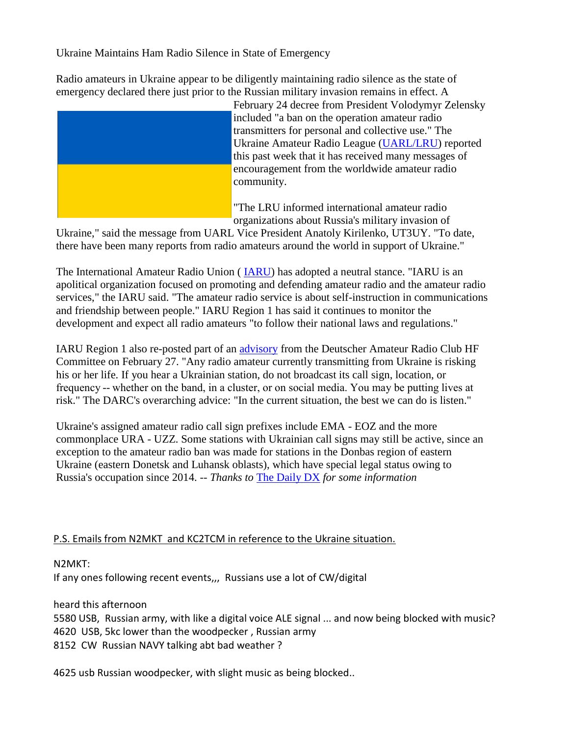Ukraine Maintains Ham Radio Silence in State of Emergency

Radio amateurs in Ukraine appear to be diligently maintaining radio silence as the state of emergency declared there just prior to the Russian military invasion remains in effect. A



February 24 decree from President Volodymyr Zelensky included "a ban on the operation amateur radio transmitters for personal and collective use." The Ukraine Amateur Radio League (UARL/LRU) reported this past week that it has received many messages of encouragement from the worldwide amateur radio community.

"The LRU informed international amateur radio organizations about Russia's military invasion of

Ukraine," said the message from UARL Vice President Anatoly Kirilenko, UT3UY. "To date, there have been many reports from radio amateurs around the world in support of Ukraine."

The International Amateur Radio Union ( IARU) has adopted a neutral stance. "IARU is an apolitical organization focused on promoting and defending amateur radio and the amateur radio services," the IARU said. "The amateur radio service is about self-instruction in communications and friendship between people." IARU Region 1 has said it continues to monitor the development and expect all radio amateurs "to follow their national laws and regulations."

IARU Region 1 also re-posted part of an advisory from the Deutscher Amateur Radio Club HF Committee on February 27. "Any radio amateur currently transmitting from Ukraine is risking his or her life. If you hear a Ukrainian station, do not broadcast its call sign, location, or frequency -- whether on the band, in a cluster, or on social media. You may be putting lives at risk." The DARC's overarching advice: "In the current situation, the best we can do is listen."

Ukraine's assigned amateur radio call sign prefixes include EMA - EOZ and the more commonplace URA - UZZ. Some stations with Ukrainian call signs may still be active, since an exception to the amateur radio ban was made for stations in the Donbas region of eastern Ukraine (eastern Donetsk and Luhansk oblasts), which have special legal status owing to Russia's occupation since 2014. *-- Thanks to* The Daily DX *for some information*

# P.S. Emails from N2MKT and KC2TCM in reference to the Ukraine situation.

# N2MKT:

If any ones following recent events,,, Russians use a lot of CW/digital

heard this afternoon

5580 USB, Russian army, with like a digital voice ALE signal ... and now being blocked with music? 4620 USB, 5kc lower than the woodpecker , Russian army 8152 CW Russian NAVY talking abt bad weather ?

4625 usb Russian woodpecker, with slight music as being blocked..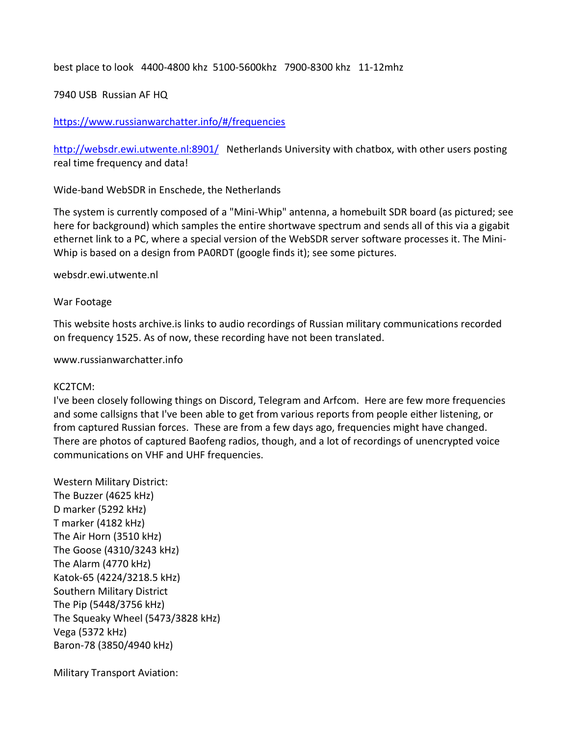best place to look 4400-4800 khz 5100-5600khz 7900-8300 khz 11-12mhz

### 7940 USB Russian AF HQ

### <https://www.russianwarchatter.info/#/frequencies>

<http://websdr.ewi.utwente.nl:8901/> Netherlands University with chatbox, with other users posting real time frequency and data!

[Wide-band WebSDR in Enschede, the Netherlands](http://websdr.ewi.utwente.nl:8901/)

The system is currently composed of a "Mini-Whip" antenna, a homebuilt SDR board (as pictured; see here for background) which samples the entire shortwave spectrum and sends all of this via a gigabit ethernet link to a PC, where a special version of the WebSDR server software processes it. The Mini-Whip is based on a design from PA0RDT (google finds it); see some pictures.

websdr.ewi.utwente.nl

#### [War Footage](https://www.russianwarchatter.info/#/frequencies)

This website hosts archive.is links to audio recordings of Russian military communications recorded on frequency 1525. As of now, these recording have not been translated.

www.russianwarchatter.info

#### KC2TCM:

I've been closely following things on Discord, Telegram and Arfcom. Here are few more frequencies and some callsigns that I've been able to get from various reports from people either listening, or from captured Russian forces. These are from a few days ago, frequencies might have changed. There are photos of captured Baofeng radios, though, and a lot of recordings of unencrypted voice communications on VHF and UHF frequencies.

Western Military District: The Buzzer (4625 kHz) D marker (5292 kHz) T marker (4182 kHz) The Air Horn (3510 kHz) The Goose (4310/3243 kHz) The Alarm (4770 kHz) Katok-65 (4224/3218.5 kHz) Southern Military District The Pip (5448/3756 kHz) The Squeaky Wheel (5473/3828 kHz) Vega (5372 kHz) Baron-78 (3850/4940 kHz)

Military Transport Aviation: